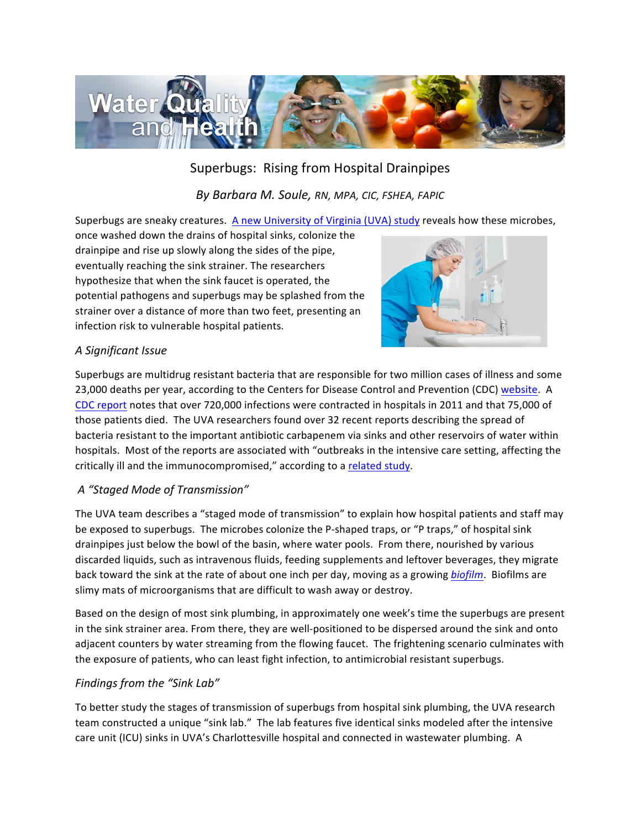

# Superbugs: Rising from Hospital Drainpipes

*By Barbara M. Soule, RN, MPA, CIC, FSHEA, FAPIC*

Superbugs are sneaky creatures. A new University of Virginia (UVA) study reveals how these microbes,

once washed down the drains of hospital sinks, colonize the drainpipe and rise up slowly along the sides of the pipe, eventually reaching the sink strainer. The researchers hypothesize that when the sink faucet is operated, the potential pathogens and superbugs may be splashed from the strainer over a distance of more than two feet, presenting an infection risk to vulnerable hospital patients.



### *A Significant Issue*

Superbugs are multidrug resistant bacteria that are responsible for two million cases of illness and some 23,000 deaths per year, according to the Centers for Disease Control and Prevention (CDC) website. A CDC report notes that over 720,000 infections were contracted in hospitals in 2011 and that 75,000 of those patients died. The UVA researchers found over 32 recent reports describing the spread of bacteria resistant to the important antibiotic carbapenem via sinks and other reservoirs of water within hospitals. Most of the reports are associated with "outbreaks in the intensive care setting, affecting the critically ill and the immunocompromised," according to a related study.

### *A "Staged Mode of Transmission"*

The UVA team describes a "staged mode of transmission" to explain how hospital patients and staff may be exposed to superbugs. The microbes colonize the P-shaped traps, or "P traps," of hospital sink drainpipes just below the bowl of the basin, where water pools. From there, nourished by various discarded liquids, such as intravenous fluids, feeding supplements and leftover beverages, they migrate back toward the sink at the rate of about one inch per day, moving as a growing *biofilm*. Biofilms are slimy mats of microorganisms that are difficult to wash away or destroy.

Based on the design of most sink plumbing, in approximately one week's time the superbugs are present in the sink strainer area. From there, they are well-positioned to be dispersed around the sink and onto adjacent counters by water streaming from the flowing faucet. The frightening scenario culminates with the exposure of patients, who can least fight infection, to antimicrobial resistant superbugs.

### *Findings from the "Sink Lab"*

To better study the stages of transmission of superbugs from hospital sink plumbing, the UVA research team constructed a unique "sink lab." The lab features five identical sinks modeled after the intensive care unit (ICU) sinks in UVA's Charlottesville hospital and connected in wastewater plumbing. A